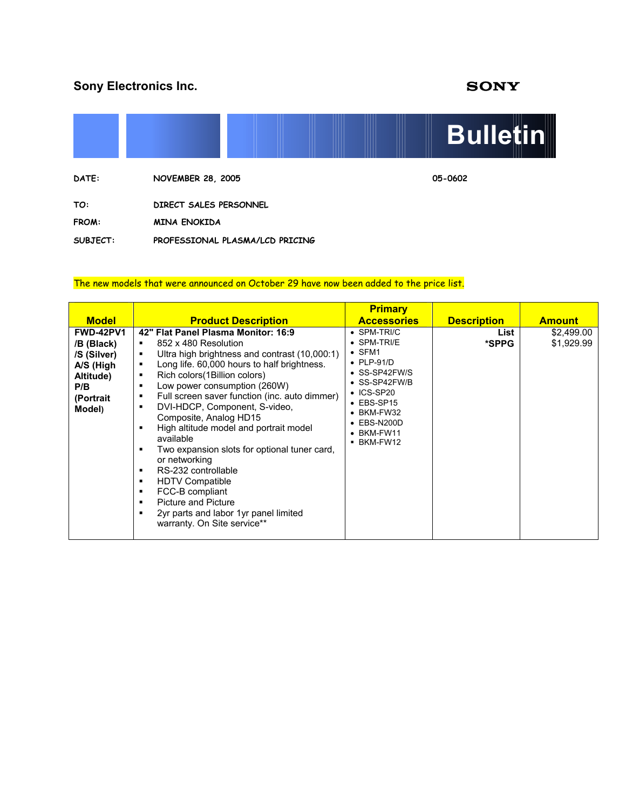# **Sony Electronics Inc. SONY**



**SUBJECT: PROFESSIONAL PLASMA/LCD PRICING** 

#### The new models that were announced on October 29 have now been added to the price list.

|                                                                                                       |                                                                                                                                                                                                                                                                                                                                                                                                                                                                                                                                                                                                                                                                                                                                | <b>Primary</b>                                                                                                                                                                                                                                            |                    |                          |
|-------------------------------------------------------------------------------------------------------|--------------------------------------------------------------------------------------------------------------------------------------------------------------------------------------------------------------------------------------------------------------------------------------------------------------------------------------------------------------------------------------------------------------------------------------------------------------------------------------------------------------------------------------------------------------------------------------------------------------------------------------------------------------------------------------------------------------------------------|-----------------------------------------------------------------------------------------------------------------------------------------------------------------------------------------------------------------------------------------------------------|--------------------|--------------------------|
| <b>Model</b>                                                                                          | <b>Product Description</b>                                                                                                                                                                                                                                                                                                                                                                                                                                                                                                                                                                                                                                                                                                     | <b>Accessories</b>                                                                                                                                                                                                                                        | <b>Description</b> | <b>Amount</b>            |
| <b>FWD-42PV1</b><br>/B (Black)<br>/S (Silver)<br>A/S (High<br>Altitude)<br>P/B<br>(Portrait<br>Model) | 42" Flat Panel Plasma Monitor: 16:9<br>852 x 480 Resolution<br>٠<br>Ultra high brightness and contrast (10,000:1)<br>٠<br>Long life. 60,000 hours to half brightness.<br>٠<br>Rich colors (1 Billion colors)<br>٠<br>Low power consumption (260W)<br>٠<br>Full screen saver function (inc. auto dimmer)<br>٠<br>DVI-HDCP, Component, S-video,<br>٠<br>Composite, Analog HD15<br>High altitude model and portrait model<br>٠<br>available<br>Two expansion slots for optional tuner card,<br>٠<br>or networking<br>RS-232 controllable<br>٠<br><b>HDTV Compatible</b><br>٠<br>FCC-B compliant<br>٠<br><b>Picture and Picture</b><br>٠<br>2yr parts and labor 1yr panel limited<br>$\blacksquare$<br>warranty. On Site service** | $\bullet$ SPM-TRI/C<br>$\bullet$ SPM-TRI/E<br>$\bullet$ SFM1<br>$\bullet$ PLP-91/D<br>• SS-SP42FW/S<br>$\bullet$ SS-SP42FW/B<br>$\cdot$ ICS-SP20<br>$\bullet$ EBS-SP15<br>$\bullet$ BKM-FW32<br>$\bullet$ EBS-N200D<br>$\bullet$ BKM-FW11<br>$-BKM$ -FW12 | List<br>*SPPG      | \$2,499.00<br>\$1,929.99 |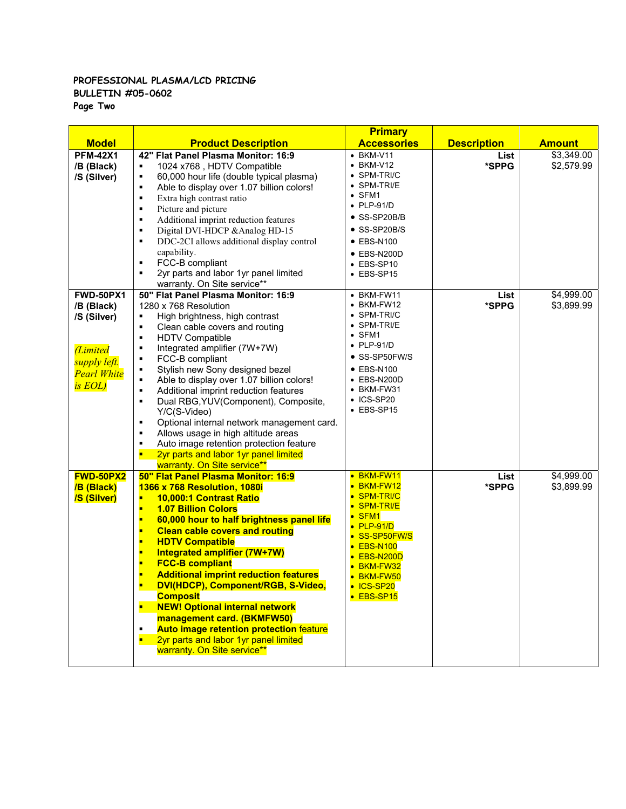## **PROFESSIONAL PLASMA/LCD PRICING BULLETIN #05-0602**

**Page Two** 

|                                                                                                                         |                                                                                                                                                                                                                                                                                                                                                                                                                                                                                                                                                                                                                                                                                                                 | <b>Primary</b>                                                                                                                                                                                                                                |                    |                                      |
|-------------------------------------------------------------------------------------------------------------------------|-----------------------------------------------------------------------------------------------------------------------------------------------------------------------------------------------------------------------------------------------------------------------------------------------------------------------------------------------------------------------------------------------------------------------------------------------------------------------------------------------------------------------------------------------------------------------------------------------------------------------------------------------------------------------------------------------------------------|-----------------------------------------------------------------------------------------------------------------------------------------------------------------------------------------------------------------------------------------------|--------------------|--------------------------------------|
| <b>Model</b>                                                                                                            | <b>Product Description</b>                                                                                                                                                                                                                                                                                                                                                                                                                                                                                                                                                                                                                                                                                      | <b>Accessories</b>                                                                                                                                                                                                                            | <b>Description</b> | <b>Amount</b>                        |
| <b>PFM-42X1</b><br>/B (Black)<br>/S (Silver)                                                                            | 42" Flat Panel Plasma Monitor: 16:9<br>1024 x768, HDTV Compatible<br>٠<br>60,000 hour life (double typical plasma)<br>٠<br>Able to display over 1.07 billion colors!<br>٠<br>Extra high contrast ratio<br>٠<br>Picture and picture<br>٠<br>Additional imprint reduction features<br>$\blacksquare$<br>Digital DVI-HDCP & Analog HD-15<br>$\blacksquare$<br>DDC-2CI allows additional display control<br>٠<br>capability.<br>FCC-B compliant<br>٠<br>2yr parts and labor 1yr panel limited<br>٠<br>warranty. On Site service**                                                                                                                                                                                   | $\bullet$ BKM-V11<br>$\bullet$ BKM-V12<br>• SPM-TRI/C<br>$\bullet$ SPM-TRI/E<br>$\bullet$ SFM1<br>$\bullet$ PLP-91/D<br>• SS-SP20B/B<br>• SS-SP20B/S<br>$\bullet$ EBS-N100<br>$\bullet$ EBS-N200D<br>$\bullet$ EBS-SP10<br>$\bullet$ EBS-SP15 | List<br>*SPPG      | \$3,349.00<br>\$2,579.99             |
| <b>FWD-50PX1</b><br>/B (Black)<br>/S (Silver)<br><i><b>Limited</b></i><br>supply left.<br><b>Pearl White</b><br>is EOL) | 50" Flat Panel Plasma Monitor: 16:9<br>1280 x 768 Resolution<br>High brightness, high contrast<br>٠<br>Clean cable covers and routing<br>٠<br><b>HDTV Compatible</b><br>$\blacksquare$<br>Integrated amplifier (7W+7W)<br>٠<br>FCC-B compliant<br>٠<br>Stylish new Sony designed bezel<br>٠<br>Able to display over 1.07 billion colors!<br>٠<br>Additional imprint reduction features<br>$\blacksquare$<br>Dual RBG, YUV (Component), Composite,<br>٠<br>Y/C(S-Video)<br>Optional internal network management card.<br>$\blacksquare$<br>Allows usage in high altitude areas<br>٠<br>Auto image retention protection feature<br>٠<br>п<br>2yr parts and labor 1yr panel limited<br>warranty. On Site service** | • BKM-FW11<br>$\bullet$ BKM-FW12<br>• SPM-TRI/C<br>$\bullet$ SPM-TRI/E<br>$\bullet$ SFM1<br>$\bullet$ PLP-91/D<br>• SS-SP50FW/S<br>$\bullet$ EBS-N100<br>• EBS-N200D<br>• BKM-FW31<br>$\bullet$ ICS-SP20<br>$\bullet$ EBS-SP15                | List<br>*SPPG      | $\overline{$4,999.00}$<br>\$3,899.99 |
| <b>FWD-50PX2</b><br>/B (Black)<br><b>/S (Silver)</b>                                                                    | 50" Flat Panel Plasma Monitor: 16:9<br>1366 x 768 Resolution, 1080i<br>10,000:1 Contrast Ratio<br><b>1.07 Billion Colors</b><br>п<br>60,000 hour to half brightness panel life<br>п<br><b>Clean cable covers and routing</b><br>п<br><b>HDTV Compatible</b><br>п<br>Integrated amplifier (7W+7W)<br>п<br><b>FCC-B compliant</b><br>п<br><b>Additional imprint reduction features</b><br>п<br>DVI(HDCP), Component/RGB, S-Video,<br><b>Composit</b><br><b>NEW! Optional internal network</b><br>$\blacksquare$<br>management card. (BKMFW50)<br><b>Auto image retention protection feature</b><br>٠<br>2yr parts and labor 1yr panel limited<br>$\blacksquare$<br>warranty. On Site service**                    | • BKM-FW11<br>BKM-FW12<br>• SPM-TRI/C<br>• SPM-TRI/E<br>SFM <sub>1</sub><br>• PLP-91/D<br>• SS-SP50FW/S<br><b>EBS-N100</b><br>EBS-N200D<br>BKM-FW32<br>• BKM-FW50<br>• ICS-SP20<br>• EBS-SP15                                                 | List<br>*SPPG      | \$4,999.00<br>\$3,899.99             |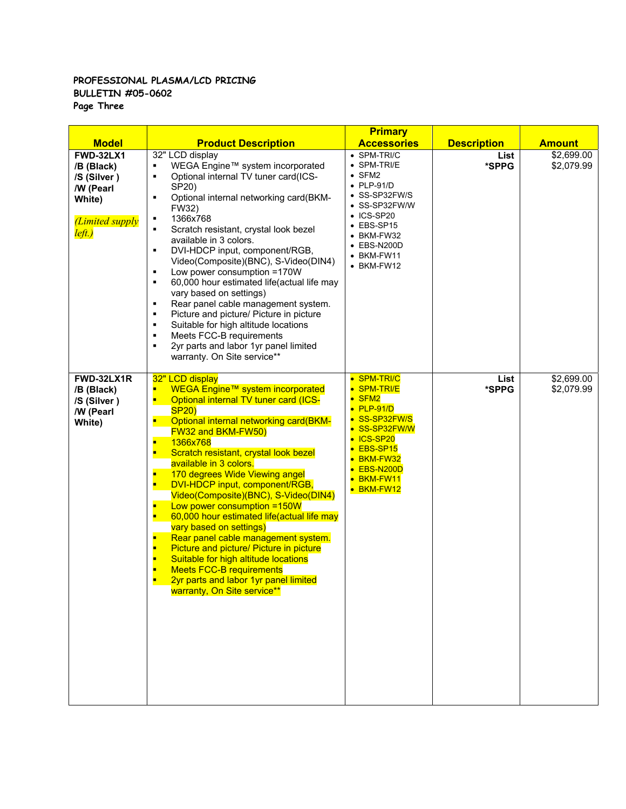### **PROFESSIONAL PLASMA/LCD PRICING BULLETIN #05-0602 Page Three**

|                                                                                                          |                                                                                                                                                                                                                                                                                                                                                                                                                                                                                                                                                                                                                                                                                                                                                                                           | <b>Primary</b>                                                                                                                                                                                                                            |                    |                          |
|----------------------------------------------------------------------------------------------------------|-------------------------------------------------------------------------------------------------------------------------------------------------------------------------------------------------------------------------------------------------------------------------------------------------------------------------------------------------------------------------------------------------------------------------------------------------------------------------------------------------------------------------------------------------------------------------------------------------------------------------------------------------------------------------------------------------------------------------------------------------------------------------------------------|-------------------------------------------------------------------------------------------------------------------------------------------------------------------------------------------------------------------------------------------|--------------------|--------------------------|
| <b>Model</b>                                                                                             | <b>Product Description</b>                                                                                                                                                                                                                                                                                                                                                                                                                                                                                                                                                                                                                                                                                                                                                                | <b>Accessories</b>                                                                                                                                                                                                                        | <b>Description</b> | <b>Amount</b>            |
| <b>FWD-32LX1</b><br>/B (Black)<br>/S (Silver)<br>/W (Pearl<br>White)<br><i>(Limited supply</i><br>left.) | 32" LCD display<br>WEGA Engine™ system incorporated<br>٠<br>Optional internal TV tuner card(ICS-<br>٠<br>SP20)<br>Optional internal networking card(BKM-<br>٠<br>FW32)<br>1366x768<br>٠<br>Scratch resistant, crystal look bezel<br>$\blacksquare$<br>available in 3 colors.<br>DVI-HDCP input, component/RGB,<br>٠<br>Video(Composite)(BNC), S-Video(DIN4)<br>Low power consumption =170W<br>٠<br>60,000 hour estimated life(actual life may<br>٠<br>vary based on settings)<br>Rear panel cable management system.<br>٠<br>Picture and picture/ Picture in picture<br>٠<br>Suitable for high altitude locations<br>٠<br>Meets FCC-B requirements<br>٠<br>2yr parts and labor 1yr panel limited<br>٠<br>warranty. On Site service**                                                      | $\bullet$ SPM-TRI/C<br>• SPM-TRI/E<br>$\bullet$ SFM2<br>$\bullet$ PLP-91/D<br>• SS-SP32FW/S<br>• SS-SP32FW/W<br>$\bullet$ ICS-SP20<br>$\bullet$ EBS-SP15<br>• BKM-FW32<br>$\bullet$ EBS-N200D<br>$\bullet$ BKM-FW11<br>$\bullet$ BKM-FW12 | List<br>*SPPG      | \$2,699.00<br>\$2,079.99 |
| FWD-32LX1R<br>/B (Black)<br>/S (Silver)<br>/W (Pearl<br>White)                                           | 32" LCD display<br>WEGA Engine™ system incorporated<br>п<br><b>Optional internal TV tuner card (ICS-</b><br>Ξ<br><b>SP20)</b><br>Optional internal networking card(BKM-<br><b>FW32 and BKM-FW50)</b><br>п<br>1366x768<br>Scratch resistant, crystal look bezel<br>available in 3 colors.<br>п<br>170 degrees Wide Viewing angel<br>DVI-HDCP input, component/RGB,<br>П<br>Video(Composite)(BNC), S-Video(DIN4)<br>П<br>Low power consumption =150W<br>П<br>60,000 hour estimated life(actual life may<br>vary based on settings)<br>Rear panel cable management system.<br>Picture and picture/ Picture in picture<br>п<br>Suitable for high altitude locations<br>п<br><b>Meets FCC-B requirements</b><br>п<br>2yr parts and labor 1yr panel limited<br>п<br>warranty, On Site service** | • SPM-TRI/C<br>• SPM-TRI/E<br>$\bullet$ SFM2<br>$\bullet$ PLP-91/D<br>• SS-SP32FW/S<br>• SS-SP32FW/W<br>• ICS-SP20<br>• EBS-SP15<br>• BKM-FW32<br>$\bullet$ EBS-N200D<br>• BKM-FW11<br>• BKM-FW12                                         | List<br>*SPPG      | \$2,699.00<br>\$2,079.99 |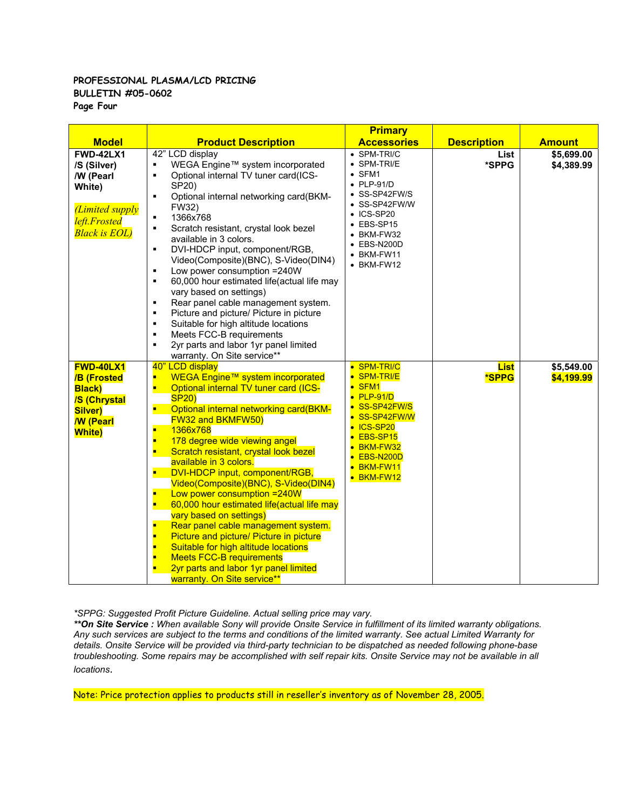#### **PROFESSIONAL PLASMA/LCD PRICING BULLETIN #05-0602 Page Four**

|                                                                                                                                |                                                                                                                                                                                                                                                                                                                                                                                                                                                                                                                                                                                                                                                                                                                                                                                                                                 | <b>Primary</b>                                                                                                                                                                                                                    |                             |                          |
|--------------------------------------------------------------------------------------------------------------------------------|---------------------------------------------------------------------------------------------------------------------------------------------------------------------------------------------------------------------------------------------------------------------------------------------------------------------------------------------------------------------------------------------------------------------------------------------------------------------------------------------------------------------------------------------------------------------------------------------------------------------------------------------------------------------------------------------------------------------------------------------------------------------------------------------------------------------------------|-----------------------------------------------------------------------------------------------------------------------------------------------------------------------------------------------------------------------------------|-----------------------------|--------------------------|
| <b>Model</b>                                                                                                                   | <b>Product Description</b>                                                                                                                                                                                                                                                                                                                                                                                                                                                                                                                                                                                                                                                                                                                                                                                                      | <b>Accessories</b>                                                                                                                                                                                                                | <b>Description</b>          | <b>Amount</b>            |
| <b>FWD-42LX1</b><br>/S (Silver)<br>/W (Pearl<br>White)<br><i>(Limited supply</i><br>left.Frosted<br><b>Black is EOL</b> )      | 42" LCD display<br>WEGA Engine™ system incorporated<br>٠<br>Optional internal TV tuner card(ICS-<br>٠<br>SP20)<br>Optional internal networking card(BKM-<br>$\blacksquare$<br>FW32)<br>1366x768<br>٠<br>Scratch resistant, crystal look bezel<br>$\blacksquare$<br>available in 3 colors.<br>DVI-HDCP input, component/RGB,<br>$\blacksquare$<br>Video(Composite)(BNC), S-Video(DIN4)<br>Low power consumption =240W<br>$\blacksquare$<br>60,000 hour estimated life(actual life may<br>$\blacksquare$<br>vary based on settings)<br>Rear panel cable management system.<br>٠<br>Picture and picture/ Picture in picture<br>٠<br>Suitable for high altitude locations<br>$\blacksquare$<br>Meets FCC-B requirements<br>$\blacksquare$<br>2yr parts and labor 1yr panel limited<br>$\blacksquare$<br>warranty. On Site service** | • SPM-TRI/C<br>• SPM-TRI/E<br>$\bullet$ SFM1<br>$\bullet$ PLP-91/D<br>• SS-SP42FW/S<br>• SS-SP42FW/W<br>$\bullet$ ICS-SP20<br>$\bullet$ EBS-SP15<br>• BKM-FW32<br>$\bullet$ EBS-N200D<br>$\bullet$ BKM-FW11<br>$\bullet$ BKM-FW12 | List<br>*SPPG               | \$5,699.00<br>\$4,389.99 |
| <b>FWD-40LX1</b><br><b>/B (Frosted</b><br><b>Black</b> )<br><b>/S (Chrystal</b><br>Silver)<br><b>W</b> (Pearl<br><b>White)</b> | 40" LCD display<br>WEGA Engine™ system incorporated<br>п<br>Optional internal TV tuner card (ICS-<br>п<br><b>SP20)</b><br>Optional internal networking card(BKM-<br><b>FW32 and BKMFW50)</b><br>1366x768<br>п<br>178 degree wide viewing angel<br>п<br>Scratch resistant, crystal look bezel<br>п<br>available in 3 colors.<br>DVI-HDCP input, component/RGB,<br>п<br>Video(Composite)(BNC), S-Video(DIN4)<br>Low power consumption = 240W<br>п<br>60,000 hour estimated life(actual life may<br>п<br>vary based on settings)<br>п<br>Rear panel cable management system.<br>Picture and picture/ Picture in picture<br>п<br>Suitable for high altitude locations<br>п<br><b>Meets FCC-B requirements</b><br>п<br>2yr parts and labor 1yr panel limited<br>warranty. On Site service**                                          | • SPM-TRI/C<br>• SPM-TRI/E<br>$\bullet$ SFM1<br>$\bullet$ PLP-91/D<br>• SS-SP42FW/S<br>• SS-SP42FW/W<br>• ICS-SP20<br>• EBS-SP15<br>• BKM-FW32<br>$\bullet$ EBS-N200D<br>• BKM-FW11<br>• BKM-FW12                                 | <b>List</b><br><b>*SPPG</b> | \$5,549.00<br>\$4,199.99 |

*\*SPPG: Suggested Profit Picture Guideline. Actual selling price may vary.* 

*\*\*On Site Service : When available Sony will provide Onsite Service in fulfillment of its limited warranty obligations. Any such services are subject to the terms and conditions of the limited warranty. See actual Limited Warranty for details. Onsite Service will be provided via third-party technician to be dispatched as needed following phone-base troubleshooting. Some repairs may be accomplished with self repair kits. Onsite Service may not be available in all locations*.

Note: Price protection applies to products still in reseller's inventory as of November 28, 2005.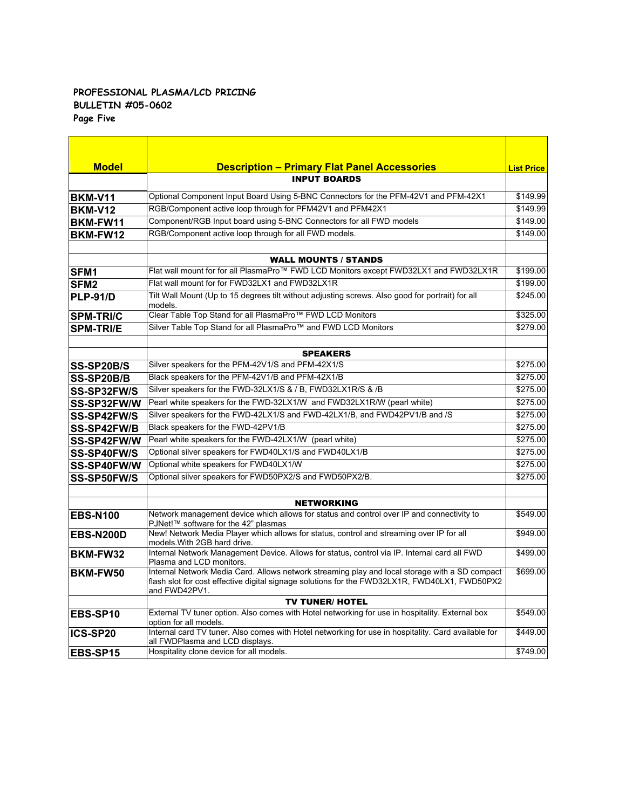#### **PROFESSIONAL PLASMA/LCD PRICING BULLETIN #05-0602 Page Five**

| <b>Model</b>     | <b>Description - Primary Flat Panel Accessories</b>                                                                                                                                                              | <b>List Price</b> |
|------------------|------------------------------------------------------------------------------------------------------------------------------------------------------------------------------------------------------------------|-------------------|
|                  | <b>INPUT BOARDS</b>                                                                                                                                                                                              |                   |
| <b>BKM-V11</b>   | Optional Component Input Board Using 5-BNC Connectors for the PFM-42V1 and PFM-42X1                                                                                                                              | \$149.99          |
| <b>BKM-V12</b>   | RGB/Component active loop through for PFM42V1 and PFM42X1                                                                                                                                                        | \$149.99          |
| BKM-FW11         | Component/RGB Input board using 5-BNC Connectors for all FWD models                                                                                                                                              | \$149.00          |
| BKM-FW12         | RGB/Component active loop through for all FWD models.                                                                                                                                                            | \$149.00          |
|                  | <b>WALL MOUNTS / STANDS</b>                                                                                                                                                                                      |                   |
| SFM1             | Flat wall mount for for all PlasmaPro™ FWD LCD Monitors except FWD32LX1 and FWD32LX1R                                                                                                                            | \$199.00          |
| SFM <sub>2</sub> | Flat wall mount for for FWD32LX1 and FWD32LX1R                                                                                                                                                                   | \$199.00          |
| PLP-91/D         | Tilt Wall Mount (Up to 15 degrees tilt without adjusting screws. Also good for portrait) for all<br>models.                                                                                                      | \$245.00          |
| <b>SPM-TRI/C</b> | Clear Table Top Stand for all PlasmaPro™ FWD LCD Monitors                                                                                                                                                        | \$325.00          |
| <b>SPM-TRI/E</b> | Silver Table Top Stand for all PlasmaPro™ and FWD LCD Monitors                                                                                                                                                   | \$279.00          |
|                  | <b>SPEAKERS</b>                                                                                                                                                                                                  |                   |
| SS-SP20B/S       | Silver speakers for the PFM-42V1/S and PFM-42X1/S                                                                                                                                                                | \$275.00          |
| SS-SP20B/B       | Black speakers for the PFM-42V1/B and PFM-42X1/B                                                                                                                                                                 | \$275.00          |
| SS-SP32FW/S      | Silver speakers for the FWD-32LX1/S & / B, FWD32LX1R/S & /B                                                                                                                                                      | \$275.00          |
| SS-SP32FW/W      | Pearl white speakers for the FWD-32LX1/W and FWD32LX1R/W (pearl white)                                                                                                                                           | \$275.00          |
| SS-SP42FW/S      | Silver speakers for the FWD-42LX1/S and FWD-42LX1/B, and FWD42PV1/B and /S                                                                                                                                       | \$275.00          |
| SS-SP42FW/B      | Black speakers for the FWD-42PV1/B                                                                                                                                                                               | \$275.00          |
| SS-SP42FW/W      | Pearl white speakers for the FWD-42LX1/W (pearl white)                                                                                                                                                           | \$275.00          |
| SS-SP40FW/S      | Optional silver speakers for FWD40LX1/S and FWD40LX1/B                                                                                                                                                           | \$275.00          |
| SS-SP40FW/W      | Optional white speakers for FWD40LX1/W                                                                                                                                                                           | \$275.00          |
| SS-SP50FW/S      | Optional silver speakers for FWD50PX2/S and FWD50PX2/B.                                                                                                                                                          | \$275.00          |
|                  | <b>NETWORKING</b>                                                                                                                                                                                                |                   |
| <b>EBS-N100</b>  | Network management device which allows for status and control over IP and connectivity to<br>PJNet!™ software for the 42" plasmas                                                                                | \$549.00          |
| <b>EBS-N200D</b> | New! Network Media Player which allows for status, control and streaming over IP for all<br>models. With 2GB hard drive.                                                                                         | \$949.00          |
| BKM-FW32         | Internal Network Management Device. Allows for status, control via IP. Internal card all FWD<br>Plasma and LCD monitors.                                                                                         | \$499.00          |
| <b>BKM-FW50</b>  | Internal Network Media Card. Allows network streaming play and local storage with a SD compact<br>flash slot for cost effective digital signage solutions for the FWD32LX1R, FWD40LX1, FWD50PX2<br>and FWD42PV1. | \$699.00          |
|                  | <b>TV TUNER/ HOTEL</b>                                                                                                                                                                                           |                   |
| EBS-SP10         | External TV tuner option. Also comes with Hotel networking for use in hospitality. External box<br>option for all models.                                                                                        | \$549.00          |
| ICS-SP20         | Internal card TV tuner. Also comes with Hotel networking for use in hospitality. Card available for<br>all FWDPlasma and LCD displays.                                                                           | \$449.00          |
| <b>EBS-SP15</b>  | Hospitality clone device for all models.                                                                                                                                                                         | \$749.00          |